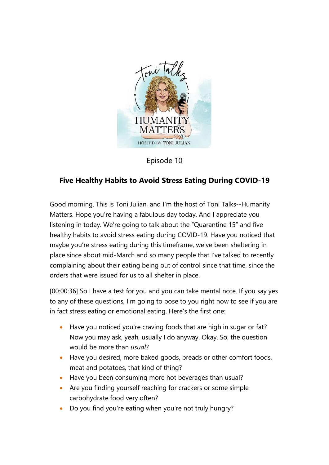

Episode 10

## **Five Healthy Habits to Avoid Stress Eating During COVID-19**

Good morning. This is Toni Julian, and I'm the host of Toni Talks--Humanity Matters. Hope you're having a fabulous day today. And I appreciate you listening in today. We're going to talk about the "Quarantine 15" and five healthy habits to avoid stress eating during COVID-19. Have you noticed that maybe you're stress eating during this timeframe, we've been sheltering in place since about mid-March and so many people that I've talked to recently complaining about their eating being out of control since that time, since the orders that were issued for us to all shelter in place.

[00:00:36] So I have a test for you and you can take mental note. If you say yes to any of these questions, I'm going to pose to you right now to see if you are in fact stress eating or emotional eating. Here's the first one:

- Have you noticed you're craving foods that are high in sugar or fat? Now you may ask, yeah, usually I do anyway. Okay. So, the question would be more than *usual*?
- Have you desired, more baked goods, breads or other comfort foods, meat and potatoes, that kind of thing?
- Have you been consuming more hot beverages than usual?
- Are you finding yourself reaching for crackers or some simple carbohydrate food very often?
- Do you find you're eating when you're not truly hungry?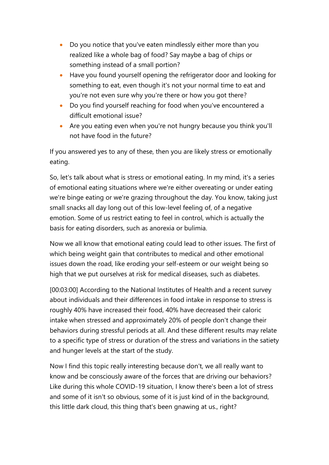- Do you notice that you've eaten mindlessly either more than you realized like a whole bag of food? Say maybe a bag of chips or something instead of a small portion?
- Have you found yourself opening the refrigerator door and looking for something to eat, even though it's not your normal time to eat and you're not even sure why you're there or how you got there?
- Do you find yourself reaching for food when you've encountered a difficult emotional issue?
- Are you eating even when you're not hungry because you think you'll not have food in the future?

If you answered yes to any of these, then you are likely stress or emotionally eating.

So, let's talk about what is stress or emotional eating. In my mind, it's a series of emotional eating situations where we're either overeating or under eating we're binge eating or we're grazing throughout the day. You know, taking just small snacks all day long out of this low-level feeling of, of a negative emotion. Some of us restrict eating to feel in control, which is actually the basis for eating disorders, such as anorexia or bulimia.

Now we all know that emotional eating could lead to other issues. The first of which being weight gain that contributes to medical and other emotional issues down the road, like eroding your self-esteem or our weight being so high that we put ourselves at risk for medical diseases, such as diabetes.

[00:03:00] According to the National Institutes of Health and a recent survey about individuals and their differences in food intake in response to stress is roughly 40% have increased their food, 40% have decreased their caloric intake when stressed and approximately 20% of people don't change their behaviors during stressful periods at all. And these different results may relate to a specific type of stress or duration of the stress and variations in the satiety and hunger levels at the start of the study.

Now I find this topic really interesting because don't, we all really want to know and be consciously aware of the forces that are driving our behaviors? Like during this whole COVID-19 situation, I know there's been a lot of stress and some of it isn't so obvious, some of it is just kind of in the background, this little dark cloud, this thing that's been gnawing at us., right?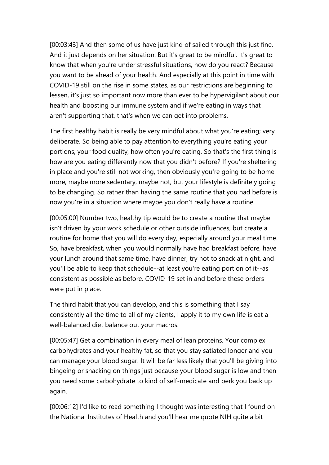[00:03:43] And then some of us have just kind of sailed through this just fine. And it just depends on her situation. But it's great to be mindful. It's great to know that when you're under stressful situations, how do you react? Because you want to be ahead of your health. And especially at this point in time with COVID-19 still on the rise in some states, as our restrictions are beginning to lessen, it's just so important now more than ever to be hypervigilant about our health and boosting our immune system and if we're eating in ways that aren't supporting that, that's when we can get into problems.

The first healthy habit is really be very mindful about what you're eating; very deliberate. So being able to pay attention to everything you're eating your portions, your food quality, how often you're eating. So that's the first thing is how are you eating differently now that you didn't before? If you're sheltering in place and you're still not working, then obviously you're going to be home more, maybe more sedentary, maybe not, but your lifestyle is definitely going to be changing. So rather than having the same routine that you had before is now you're in a situation where maybe you don't really have a routine.

[00:05:00] Number two, healthy tip would be to create a routine that maybe isn't driven by your work schedule or other outside influences, but create a routine for home that you will do every day, especially around your meal time. So, have breakfast, when you would normally have had breakfast before, have your lunch around that same time, have dinner, try not to snack at night, and you'll be able to keep that schedule--at least you're eating portion of it--as consistent as possible as before. COVID-19 set in and before these orders were put in place.

The third habit that you can develop, and this is something that I say consistently all the time to all of my clients, I apply it to my own life is eat a well-balanced diet balance out your macros.

[00:05:47] Get a combination in every meal of lean proteins. Your complex carbohydrates and your healthy fat, so that you stay satiated longer and you can manage your blood sugar. It will be far less likely that you'll be giving into bingeing or snacking on things just because your blood sugar is low and then you need some carbohydrate to kind of self-medicate and perk you back up again.

[00:06:12] I'd like to read something I thought was interesting that I found on the National Institutes of Health and you'll hear me quote NIH quite a bit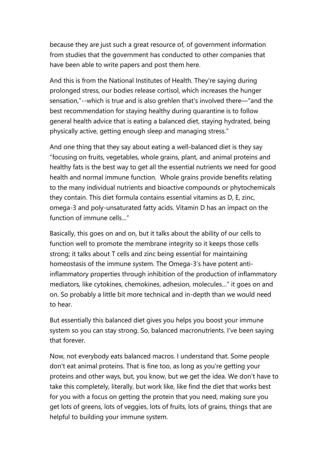because they are just such a great resource of, of government information from studies that the government has conducted to other companies that have been able to write papers and post them here.

And this is from the National Institutes of Health. They're saying during prolonged stress, our bodies release cortisol, which increases the hunger sensation,"--which is true and is also grehlen that's involved there—"and the best recommendation for staying healthy during quarantine is to follow general health advice that is eating a balanced diet, staying hydrated, being physically active, getting enough sleep and managing stress."

And one thing that they say about eating a well-balanced diet is they say "focusing on fruits, vegetables, whole grains, plant, and animal proteins and healthy fats is the best way to get all the essential nutrients we need for good health and normal immune function. Whole grains provide benefits relating to the many individual nutrients and bioactive compounds or phytochemicals they contain. This diet formula contains essential vitamins as D, E, zinc, omega-3 and poly-unsaturated fatty acids. Vitamin D has an impact on the function of immune cells…"

Basically, this goes on and on, but it talks about the ability of our cells to function well to promote the membrane integrity so it keeps those cells strong; it talks about T cells and zinc being essential for maintaining homeostasis of the immune system. The Omega-3's have potent antiinflammatory properties through inhibition of the production of inflammatory mediators, like cytokines, chemokines, adhesion, molecules…" it goes on and on. So probably a little bit more technical and in-depth than we would need to hear.

But essentially this balanced diet gives you helps you boost your immune system so you can stay strong. So, balanced macronutrients. I've been saying that forever.

Now, not everybody eats balanced macros. I understand that. Some people don't eat animal proteins. That is fine too, as long as you're getting your proteins and other ways, but, you know, but we get the idea. We don't have to take this completely, literally, but work like, like find the diet that works best for you with a focus on getting the protein that you need, making sure you get lots of greens, lots of veggies, lots of fruits, lots of grains, things that are helpful to building your immune system.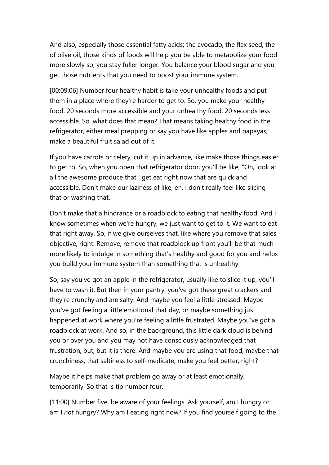And also, especially those essential fatty acids; the avocado, the flax seed, the of olive oil, those kinds of foods will help you be able to metabolize your food more slowly so, you stay fuller longer. You balance your blood sugar and you get those nutrients that you need to boost your immune system.

[00:09:06] Number four healthy habit is take your unhealthy foods and put them in a place where they're harder to get to. So, you make your healthy food, 20 seconds more accessible and your unhealthy food, 20 seconds less accessible. So, what does that mean? That means taking healthy food in the refrigerator, either meal prepping or say you have like apples and papayas, make a beautiful fruit salad out of it.

If you have carrots or celery, cut it up in advance, like make those things easier to get to. So, when you open that refrigerator door, you'll be like, "Oh, look at all the awesome produce that I get eat right now that are quick and accessible. Don't make our laziness of like, eh, I don't really feel like slicing that or washing that.

Don't make that a hindrance or a roadblock to eating that healthy food. And I know sometimes when we're hungry, we just want to get to it. We want to eat that right away. So, if we give ourselves that, like where you remove that sales objective, right. Remove, remove that roadblock up front you'll be that much more likely to indulge in something that's healthy and good for you and helps you build your immune system than something that is unhealthy.

So, say you've got an apple in the refrigerator, usually like to slice it up, you'll have to wash it. But then in your pantry, you've got these great crackers and they're crunchy and are salty. And maybe you feel a little stressed. Maybe you've got feeling a little emotional that day, or maybe something just happened at work where you're feeling a little frustrated. Maybe you've got a roadblock at work. And so, in the background, this little dark cloud is behind you or over you and you may not have consciously acknowledged that frustration, but, but it is there. And maybe you are using that food, maybe that crunchiness, that saltiness to self-medicate, make you feel better, right?

Maybe it helps make that problem go away or at least emotionally, temporarily. So that is tip number four.

[11:00] Number five, be aware of your feelings. Ask yourself, am I hungry or am I *not* hungry? Why am I eating right now? If you find yourself going to the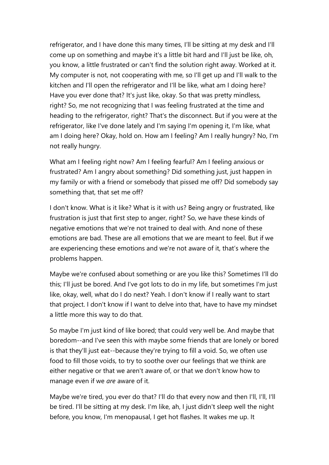refrigerator, and I have done this many times, I'll be sitting at my desk and I'll come up on something and maybe it's a little bit hard and I'll just be like, oh, you know, a little frustrated or can't find the solution right away. Worked at it. My computer is not, not cooperating with me, so I'll get up and I'll walk to the kitchen and I'll open the refrigerator and I'll be like, what am I doing here? Have you ever done that? It's just like, okay. So that was pretty mindless, right? So, me not recognizing that I was feeling frustrated at the time and heading to the refrigerator, right? That's the disconnect. But if you were at the refrigerator, like I've done lately and I'm saying I'm opening it, I'm like, what am I doing here? Okay, hold on. How am I feeling? Am I really hungry? No, I'm not really hungry.

What am I feeling right now? Am I feeling fearful? Am I feeling anxious or frustrated? Am I angry about something? Did something just, just happen in my family or with a friend or somebody that pissed me off? Did somebody say something that, that set me off?

I don't know. What is it like? What is it with us? Being angry or frustrated, like frustration is just that first step to anger, right? So, we have these kinds of negative emotions that we're not trained to deal with. And none of these emotions are bad. These are all emotions that we are meant to feel. But if we are experiencing these emotions and we're not aware of it, that's where the problems happen.

Maybe we're confused about something or are you like this? Sometimes I'll do this; I'll just be bored. And I've got lots to do in my life, but sometimes I'm just like, okay, well, what do I do next? Yeah. I don't know if I really want to start that project. I don't know if I want to delve into that, have to have my mindset a little more this way to do that.

So maybe I'm just kind of like bored; that could very well be. And maybe that boredom--and I've seen this with maybe some friends that are lonely or bored is that they'll just eat--because they're trying to fill a void. So, we often use food to fill those voids, to try to soothe over our feelings that we think are either negative or that we aren't aware of, or that we don't know how to manage even if we *are* aware of it.

Maybe we're tired, you ever do that? I'll do that every now and then I'll, I'll, I'll be tired. I'll be sitting at my desk. I'm like, ah, I just didn't sleep well the night before, you know, I'm menopausal, I get hot flashes. It wakes me up. It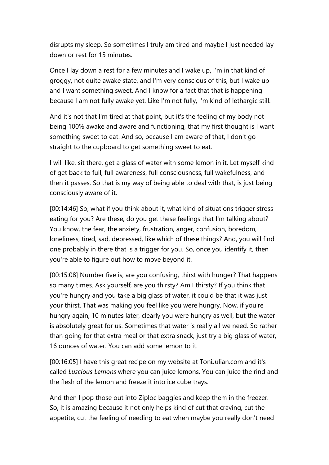disrupts my sleep. So sometimes I truly am tired and maybe I just needed lay down or rest for 15 minutes.

Once I lay down a rest for a few minutes and I wake up, I'm in that kind of groggy, not quite awake state, and I'm very conscious of this, but I wake up and I want something sweet. And I know for a fact that that is happening because I am not fully awake yet. Like I'm not fully, I'm kind of lethargic still.

And it's not that I'm tired at that point, but it's the feeling of my body not being 100% awake and aware and functioning, that my first thought is I want something sweet to eat. And so, because I am aware of that, I don't go straight to the cupboard to get something sweet to eat.

I will like, sit there, get a glass of water with some lemon in it. Let myself kind of get back to full, full awareness, full consciousness, full wakefulness, and then it passes. So that is my way of being able to deal with that, is just being consciously aware of it.

[00:14:46] So, what if you think about it, what kind of situations trigger stress eating for you? Are these, do you get these feelings that I'm talking about? You know, the fear, the anxiety, frustration, anger, confusion, boredom, loneliness, tired, sad, depressed, like which of these things? And, you will find one probably in there that is a trigger for you. So, once you identify it, then you're able to figure out how to move beyond it.

[00:15:08] Number five is, are you confusing, thirst with hunger? That happens so many times. Ask yourself, are you thirsty? Am I thirsty? If you think that you're hungry and you take a big glass of water, it could be that it was just your thirst. That was making you feel like you were hungry. Now, if you're hungry again, 10 minutes later, clearly you were hungry as well, but the water is absolutely great for us. Sometimes that water is really all we need. So rather than going for that extra meal or that extra snack, just try a big glass of water, 16 ounces of water. You can add some lemon to it.

[00:16:05] I have this great recipe on my website at ToniJulian.com and it's called *Luscious Lemons* where you can juice lemons. You can juice the rind and the flesh of the lemon and freeze it into ice cube trays.

And then I pop those out into Ziploc baggies and keep them in the freezer. So, it is amazing because it not only helps kind of cut that craving, cut the appetite, cut the feeling of needing to eat when maybe you really don't need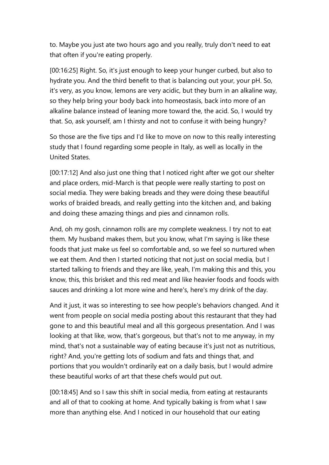to. Maybe you just ate two hours ago and you really, truly don't need to eat that often if you're eating properly.

[00:16:25] Right. So, it's just enough to keep your hunger curbed, but also to hydrate you. And the third benefit to that is balancing out your, your pH. So, it's very, as you know, lemons are very acidic, but they burn in an alkaline way, so they help bring your body back into homeostasis, back into more of an alkaline balance instead of leaning more toward the, the acid. So, I would try that. So, ask yourself, am I thirsty and not to confuse it with being hungry?

So those are the five tips and I'd like to move on now to this really interesting study that I found regarding some people in Italy, as well as locally in the United States.

[00:17:12] And also just one thing that I noticed right after we got our shelter and place orders, mid-March is that people were really starting to post on social media. They were baking breads and they were doing these beautiful works of braided breads, and really getting into the kitchen and, and baking and doing these amazing things and pies and cinnamon rolls.

And, oh my gosh, cinnamon rolls are my complete weakness. I try not to eat them. My husband makes them, but you know, what I'm saying is like these foods that just make us feel so comfortable and, so we feel so nurtured when we eat them. And then I started noticing that not just on social media, but I started talking to friends and they are like, yeah, I'm making this and this, you know, this, this brisket and this red meat and like heavier foods and foods with sauces and drinking a lot more wine and here's, here's my drink of the day.

And it just, it was so interesting to see how people's behaviors changed. And it went from people on social media posting about this restaurant that they had gone to and this beautiful meal and all this gorgeous presentation. And I was looking at that like, wow, that's gorgeous, but that's not to me anyway, in my mind, that's not a sustainable way of eating because it's just not as nutritious, right? And, you're getting lots of sodium and fats and things that, and portions that you wouldn't ordinarily eat on a daily basis, but I would admire these beautiful works of art that these chefs would put out.

[00:18:45] And so I saw this shift in social media, from eating at restaurants and all of that to cooking at home. And typically baking is from what I saw more than anything else. And I noticed in our household that our eating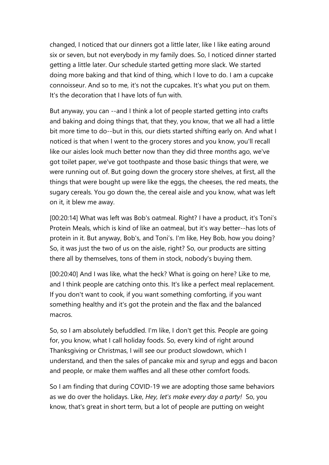changed, I noticed that our dinners got a little later, like I like eating around six or seven, but not everybody in my family does. So, I noticed dinner started getting a little later. Our schedule started getting more slack. We started doing more baking and that kind of thing, which I love to do. I am a cupcake connoisseur. And so to me, it's not the cupcakes. It's what you put on them. It's the decoration that I have lots of fun with.

But anyway, you can --and I think a lot of people started getting into crafts and baking and doing things that, that they, you know, that we all had a little bit more time to do--but in this, our diets started shifting early on. And what I noticed is that when I went to the grocery stores and you know, you'll recall like our aisles look much better now than they did three months ago, we've got toilet paper, we've got toothpaste and those basic things that were, we were running out of. But going down the grocery store shelves, at first, all the things that were bought up were like the eggs, the cheeses, the red meats, the sugary cereals. You go down the, the cereal aisle and you know, what was left on it, it blew me away.

[00:20:14] What was left was Bob's oatmeal. Right? I have a product, it's Toni's Protein Meals, which is kind of like an oatmeal, but it's way better--has lots of protein in it. But anyway, Bob's, and Toni's. I'm like, Hey Bob, how you doing? So, it was just the two of us on the aisle, right? So, our products are sitting there all by themselves, tons of them in stock, nobody's buying them.

[00:20:40] And I was like, what the heck? What is going on here? Like to me, and I think people are catching onto this. It's like a perfect meal replacement. If you don't want to cook, if you want something comforting, if you want something healthy and it's got the protein and the flax and the balanced macros.

So, so I am absolutely befuddled. I'm like, I don't get this. People are going for, you know, what I call holiday foods. So, every kind of right around Thanksgiving or Christmas, I will see our product slowdown, which I understand, and then the sales of pancake mix and syrup and eggs and bacon and people, or make them waffles and all these other comfort foods.

So I am finding that during COVID-19 we are adopting those same behaviors as we do over the holidays. Like, *Hey, let's make every day a party!* So, you know, that's great in short term, but a lot of people are putting on weight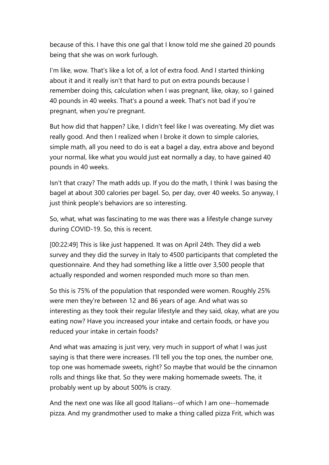because of this. I have this one gal that I know told me she gained 20 pounds being that she was on work furlough.

I'm like, wow. That's like a lot of, a lot of extra food. And I started thinking about it and it really isn't that hard to put on extra pounds because I remember doing this, calculation when I was pregnant, like, okay, so I gained 40 pounds in 40 weeks. That's a pound a week. That's not bad if you're pregnant, when you're pregnant.

But how did that happen? Like, I didn't feel like I was overeating. My diet was really good. And then I realized when I broke it down to simple calories, simple math, all you need to do is eat a bagel a day, extra above and beyond your normal, like what you would just eat normally a day, to have gained 40 pounds in 40 weeks.

Isn't that crazy? The math adds up. If you do the math, I think I was basing the bagel at about 300 calories per bagel. So, per day, over 40 weeks. So anyway, I just think people's behaviors are so interesting.

So, what, what was fascinating to me was there was a lifestyle change survey during COVID-19. So, this is recent.

[00:22:49] This is like just happened. It was on April 24th. They did a web survey and they did the survey in Italy to 4500 participants that completed the questionnaire. And they had something like a little over 3,500 people that actually responded and women responded much more so than men.

So this is 75% of the population that responded were women. Roughly 25% were men they're between 12 and 86 years of age. And what was so interesting as they took their regular lifestyle and they said, okay, what are you eating now? Have you increased your intake and certain foods, or have you reduced your intake in certain foods?

And what was amazing is just very, very much in support of what I was just saying is that there were increases. I'll tell you the top ones, the number one, top one was homemade sweets, right? So maybe that would be the cinnamon rolls and things like that. So they were making homemade sweets. The, it probably went up by about 500% is crazy.

And the next one was like all good Italians--of which I am one--homemade pizza. And my grandmother used to make a thing called pizza Frit, which was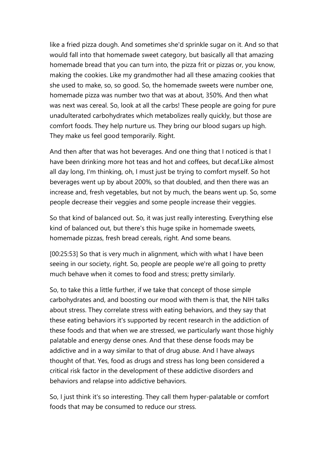like a fried pizza dough. And sometimes she'd sprinkle sugar on it. And so that would fall into that homemade sweet category, but basically all that amazing homemade bread that you can turn into, the pizza frit or pizzas or, you know, making the cookies. Like my grandmother had all these amazing cookies that she used to make, so, so good. So, the homemade sweets were number one, homemade pizza was number two that was at about, 350%. And then what was next was cereal. So, look at all the carbs! These people are going for pure unadulterated carbohydrates which metabolizes really quickly, but those are comfort foods. They help nurture us. They bring our blood sugars up high. They make us feel good temporarily. Right.

And then after that was hot beverages. And one thing that I noticed is that I have been drinking more hot teas and hot and coffees, but decaf.Like almost all day long, I'm thinking, oh, I must just be trying to comfort myself. So hot beverages went up by about 200%, so that doubled, and then there was an increase and, fresh vegetables, but not by much, the beans went up. So, some people decrease their veggies and some people increase their veggies.

So that kind of balanced out. So, it was just really interesting. Everything else kind of balanced out, but there's this huge spike in homemade sweets, homemade pizzas, fresh bread cereals, right. And some beans.

[00:25:53] So that is very much in alignment, which with what I have been seeing in our society, right. So, people are people we're all going to pretty much behave when it comes to food and stress; pretty similarly.

So, to take this a little further, if we take that concept of those simple carbohydrates and, and boosting our mood with them is that, the NIH talks about stress. They correlate stress with eating behaviors, and they say that these eating behaviors it's supported by recent research in the addiction of these foods and that when we are stressed, we particularly want those highly palatable and energy dense ones. And that these dense foods may be addictive and in a way similar to that of drug abuse. And I have always thought of that. Yes, food as drugs and stress has long been considered a critical risk factor in the development of these addictive disorders and behaviors and relapse into addictive behaviors.

So, I just think it's so interesting. They call them hyper-palatable or comfort foods that may be consumed to reduce our stress.